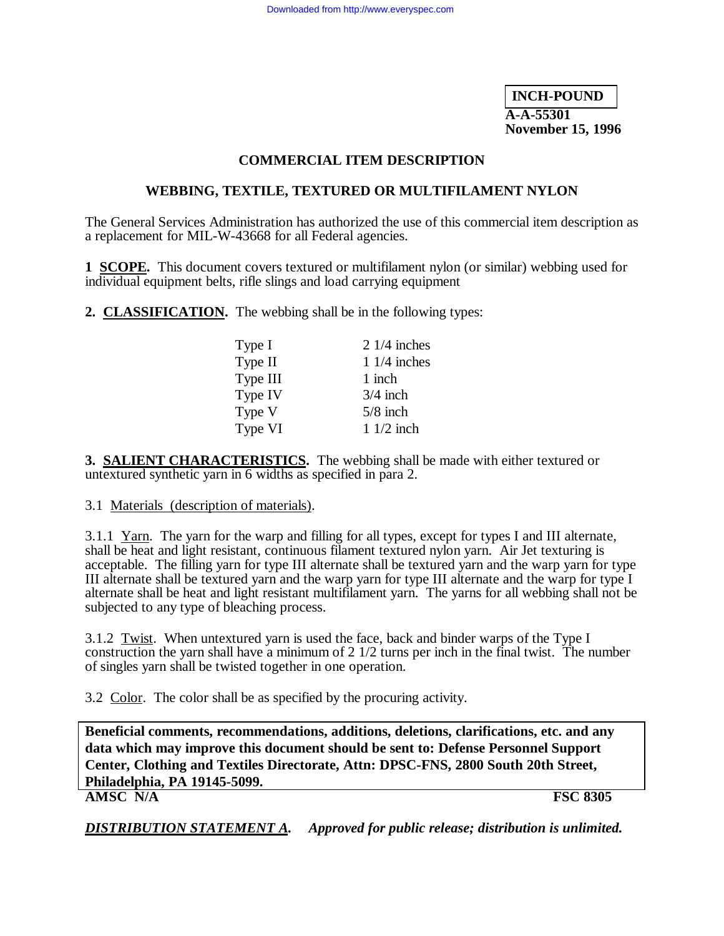**INCH-POUND A-A-55301 November 15, 1996**

### **COMMERCIAL ITEM DESCRIPTION**

### **WEBBING, TEXTILE, TEXTURED OR MULTIFILAMENT NYLON**

The General Services Administration has authorized the use of this commercial item description as a replacement for MIL-W-43668 for all Federal agencies.

**1 SCOPE.** This document covers textured or multifilament nylon (or similar) webbing used for individual equipment belts, rifle slings and load carrying equipment

**2. CLASSIFICATION.** The webbing shall be in the following types:

| Type I   | $21/4$ inches |
|----------|---------------|
| Type II  | $11/4$ inches |
| Type III | 1 inch        |
| Type IV  | $3/4$ inch    |
| Type V   | $5/8$ inch    |
| Type VI  | $11/2$ inch   |

**3. SALIENT CHARACTERISTICS.** The webbing shall be made with either textured or untextured synthetic yarn in 6 widths as specified in para 2.

3.1 Materials (description of materials).

3.1.1 Yarn. The yarn for the warp and filling for all types, except for types I and III alternate, shall be heat and light resistant, continuous filament textured nylon yarn. Air Jet texturing is acceptable. The filling yarn for type III alternate shall be textured yarn and the warp yarn for type III alternate shall be textured yarn and the warp yarn for type III alternate and the warp for type I alternate shall be heat and light resistant multifilament yarn. The yarns for all webbing shall not be subjected to any type of bleaching process.

3.1.2 Twist. When untextured yarn is used the face, back and binder warps of the Type I construction the yarn shall have a minimum of  $2 \frac{1}{2}$  turns per inch in the final twist. The number of singles yarn shall be twisted together in one operation.

3.2 Color. The color shall be as specified by the procuring activity.

**Beneficial comments, recommendations, additions, deletions, clarifications, etc. and any data which may improve this document should be sent to: Defense Personnel Support Center, Clothing and Textiles Directorate, Attn: DPSC-FNS, 2800 South 20th Street, Philadelphia, PA 19145-5099. AMSC N/A FSC 8305**

*DISTRIBUTION STATEMENT A. Approved for public release; distribution is unlimited.*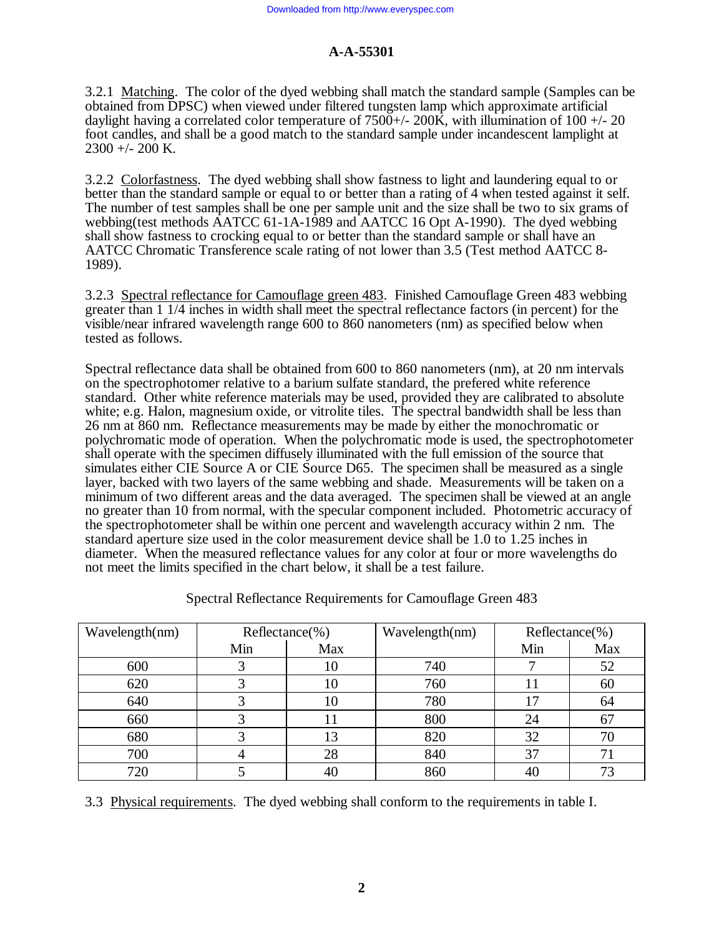3.2.1 Matching. The color of the dyed webbing shall match the standard sample (Samples can be obtained from DPSC) when viewed under filtered tungsten lamp which approximate artificial daylight having a correlated color temperature of  $7500+\frac{1}{200}$ , with illumination of 100  $+\frac{1}{20}$ foot candles, and shall be a good match to the standard sample under incandescent lamplight at 2300 +/- 200 K.

3.2.2 Colorfastness. The dyed webbing shall show fastness to light and laundering equal to or better than the standard sample or equal to or better than a rating of 4 when tested against it self. The number of test samples shall be one per sample unit and the size shall be two to six grams of webbing(test methods AATCC 61-1A-1989 and AATCC 16 Opt A-1990). The dyed webbing shall show fastness to crocking equal to or better than the standard sample or shall have an AATCC Chromatic Transference scale rating of not lower than 3.5 (Test method AATCC 8- 1989).

3.2.3 Spectral reflectance for Camouflage green 483. Finished Camouflage Green 483 webbing greater than 1 1/4 inches in width shall meet the spectral reflectance factors (in percent) for the visible/near infrared wavelength range 600 to 860 nanometers (nm) as specified below when tested as follows.

Spectral reflectance data shall be obtained from 600 to 860 nanometers (nm), at 20 nm intervals on the spectrophotomer relative to a barium sulfate standard, the prefered white reference standard. Other white reference materials may be used, provided they are calibrated to absolute white; e.g. Halon, magnesium oxide, or vitrolite tiles. The spectral bandwidth shall be less than 26 nm at 860 nm. Reflectance measurements may be made by either the monochromatic or polychromatic mode of operation. When the polychromatic mode is used, the spectrophotometer shall operate with the specimen diffusely illuminated with the full emission of the source that simulates either CIE Source A or CIE Source D65. The specimen shall be measured as a single layer, backed with two layers of the same webbing and shade. Measurements will be taken on a minimum of two different areas and the data averaged. The specimen shall be viewed at an angle no greater than 10 from normal, with the specular component included. Photometric accuracy of the spectrophotometer shall be within one percent and wavelength accuracy within 2 nm. The standard aperture size used in the color measurement device shall be 1.0 to 1.25 inches in diameter. When the measured reflectance values for any color at four or more wavelengths do not meet the limits specified in the chart below, it shall be a test failure.

| Wavelength(nm) | $Reference$ %) |     | Wavelength(nm) | $Reference$ %) |     |
|----------------|----------------|-----|----------------|----------------|-----|
|                | Min            | Max |                | Min            | Max |
| 600            |                | 10  | 740            |                | 52  |
| 620            |                | 10  | 760            |                | 60  |
| 640            |                | 10  | 780            |                | 64  |
| 660            |                |     | 800            | 24             |     |
| 680            |                | 13  | 820            | 32             | 70  |
| 700            |                | 28  | 840            | 37             |     |
| 720            |                |     | 860            | 40             |     |

Spectral Reflectance Requirements for Camouflage Green 483

3.3 Physical requirements. The dyed webbing shall conform to the requirements in table I.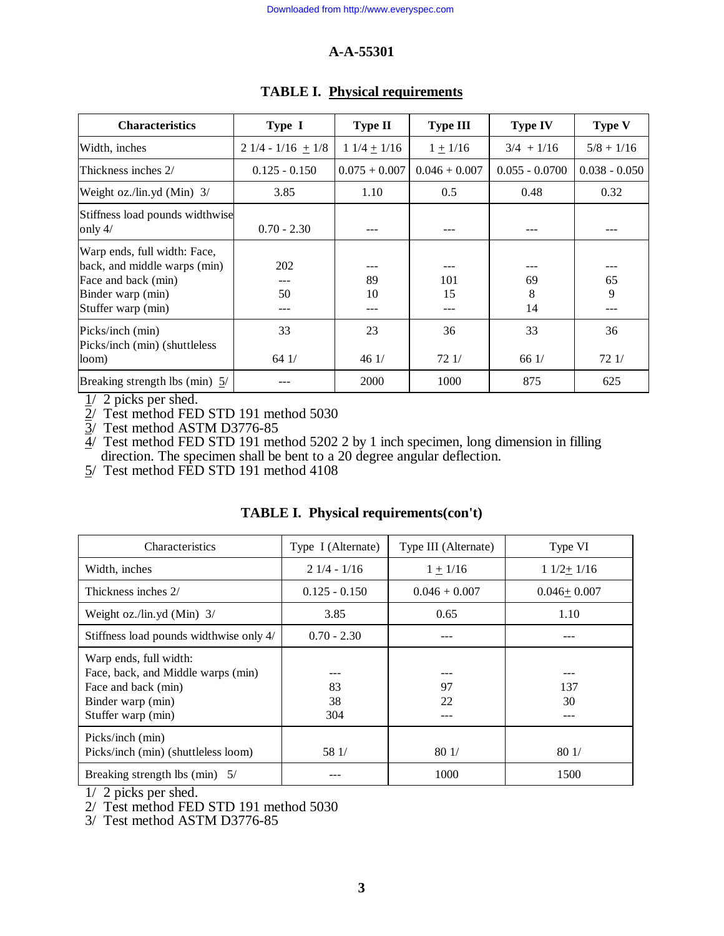| <b>Characteristics</b>                                                                                                         | Type I              | <b>Type II</b>  | <b>Type III</b> | <b>Type IV</b>   | <b>Type V</b>   |
|--------------------------------------------------------------------------------------------------------------------------------|---------------------|-----------------|-----------------|------------------|-----------------|
| Width, inches                                                                                                                  | $21/4 - 1/16 + 1/8$ | $11/4 + 1/16$   | $1 + 1/16$      | $3/4$ + 1/16     | $5/8 + 1/16$    |
| Thickness inches 2/                                                                                                            | $0.125 - 0.150$     | $0.075 + 0.007$ | $0.046 + 0.007$ | $0.055 - 0.0700$ | $0.038 - 0.050$ |
| Weight oz./lin.yd (Min) $3/$                                                                                                   | 3.85                | 1.10            | 0.5             | 0.48             | 0.32            |
| Stiffness load pounds widthwise<br>only $4/$                                                                                   | $0.70 - 2.30$       |                 |                 |                  |                 |
| Warp ends, full width: Face,<br>back, and middle warps (min)<br>Face and back (min)<br>Binder warp (min)<br>Stuffer warp (min) | 202<br>50           | 89<br>10        | 101<br>15       | 69<br>8<br>14    | 65<br>9         |
| Picks/inch (min)<br>Picks/inch (min) (shuttleless<br>loom)                                                                     | 33<br>641/          | 23<br>461/      | 36<br>721/      | 33<br>661/       | 36<br>72 1/     |
| Breaking strength lbs (min) 5/                                                                                                 |                     | 2000            | 1000            | 875              | 625             |

### **TABLE I. Physical requirements**

 $\frac{1}{2}$  picks per shed.

2/ Test method FED STD 191 method 5030

3/ Test method ASTM D3776-85

 $4/$  Test method FED STD 191 method 5202 2 by 1 inch specimen, long dimension in filling direction. The specimen shall be bent to a 20 degree angular deflection.

5/ Test method FED STD 191 method 4108

| Characteristics                                                                                                                | Type I (Alternate) | Type III (Alternate) | Type VI          |
|--------------------------------------------------------------------------------------------------------------------------------|--------------------|----------------------|------------------|
| Width, inches                                                                                                                  | $21/4 - 1/16$      | $1 + 1/16$           | $11/2+1/16$      |
| Thickness inches 2/                                                                                                            | $0.125 - 0.150$    | $0.046 + 0.007$      | $0.046 + 0.007$  |
| Weight oz./lin.yd $(Min)$ 3/                                                                                                   | 3.85               | 0.65                 | 1.10             |
| Stiffness load pounds widthwise only 4/                                                                                        | $0.70 - 2.30$      |                      | ---              |
| Warp ends, full width:<br>Face, back, and Middle warps (min)<br>Face and back (min)<br>Binder warp (min)<br>Stuffer warp (min) | 83<br>38<br>304    | 97<br>22             | 137<br>30<br>--- |
| Picks/inch (min)<br>Picks/inch (min) (shuttleless loom)                                                                        | 58 1/              | 801/                 | 801/             |
| Breaking strength lbs (min) $5/$                                                                                               |                    | 1000                 | 1500             |

## **TABLE I. Physical requirements(con't)**

1/ 2 picks per shed.

2/ Test method FED STD 191 method 5030

3/ Test method ASTM D3776-85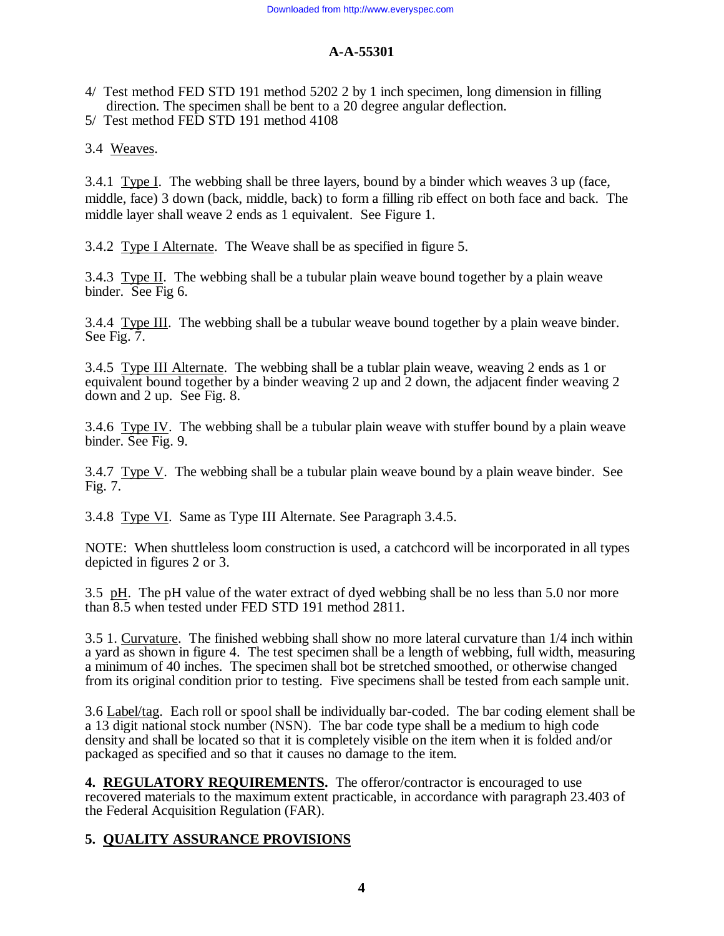- 4/ Test method FED STD 191 method 5202 2 by 1 inch specimen, long dimension in filling direction. The specimen shall be bent to a 20 degree angular deflection.
- 5/ Test method FED STD 191 method 4108

3.4 Weaves.

3.4.1 Type I. The webbing shall be three layers, bound by a binder which weaves 3 up (face, middle, face) 3 down (back, middle, back) to form a filling rib effect on both face and back. The middle layer shall weave 2 ends as 1 equivalent. See Figure 1.

3.4.2 Type I Alternate. The Weave shall be as specified in figure 5.

3.4.3 Type II. The webbing shall be a tubular plain weave bound together by a plain weave binder. See Fig 6.

3.4.4 Type III. The webbing shall be a tubular weave bound together by a plain weave binder. See Fig. 7.

3.4.5 Type III Alternate. The webbing shall be a tublar plain weave, weaving 2 ends as 1 or equivalent bound together by a binder weaving 2 up and 2 down, the adjacent finder weaving 2 down and 2 up. See Fig. 8.

3.4.6 Type IV. The webbing shall be a tubular plain weave with stuffer bound by a plain weave binder. See Fig. 9.

3.4.7 Type V. The webbing shall be a tubular plain weave bound by a plain weave binder. See Fig. 7.

3.4.8 Type VI. Same as Type III Alternate. See Paragraph 3.4.5.

NOTE: When shuttleless loom construction is used, a catchcord will be incorporated in all types depicted in figures 2 or 3.

3.5 pH. The pH value of the water extract of dyed webbing shall be no less than 5.0 nor more than 8.5 when tested under FED STD 191 method 2811.

3.5 1. Curvature. The finished webbing shall show no more lateral curvature than 1/4 inch within a yard as shown in figure 4. The test specimen shall be a length of webbing, full width, measuring a minimum of 40 inches. The specimen shall bot be stretched smoothed, or otherwise changed from its original condition prior to testing. Five specimens shall be tested from each sample unit.

3.6 Label/tag. Each roll or spool shall be individually bar-coded. The bar coding element shall be a 13 digit national stock number (NSN). The bar code type shall be a medium to high code density and shall be located so that it is completely visible on the item when it is folded and/or packaged as specified and so that it causes no damage to the item.

**4. REGULATORY REQUIREMENTS.** The offeror/contractor is encouraged to use recovered materials to the maximum extent practicable, in accordance with paragraph 23.403 of the Federal Acquisition Regulation (FAR).

## **5. QUALITY ASSURANCE PROVISIONS**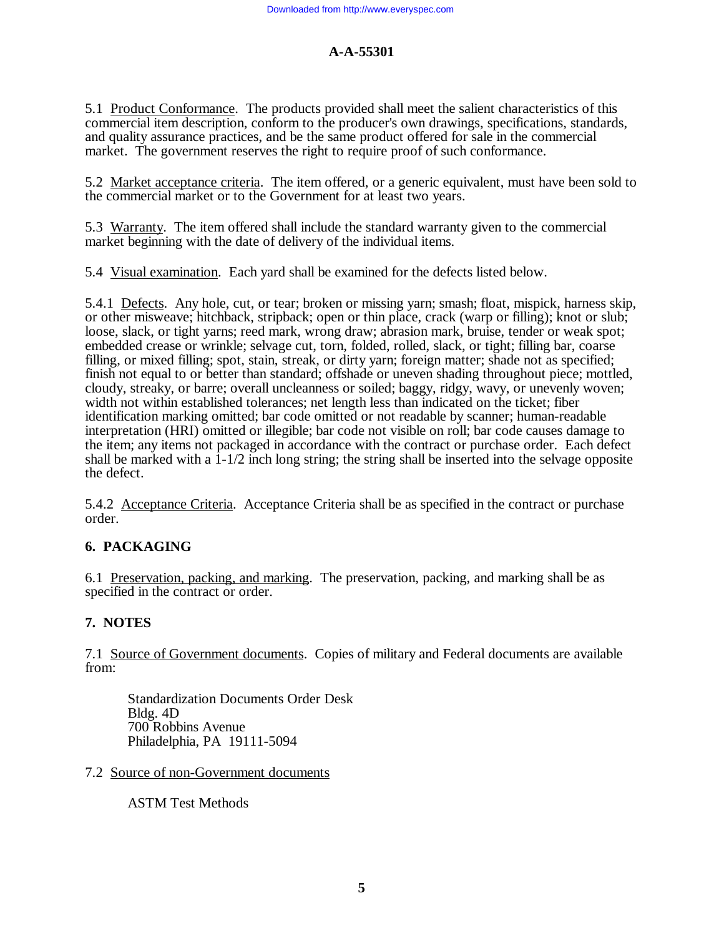5.1 Product Conformance. The products provided shall meet the salient characteristics of this commercial item description, conform to the producer's own drawings, specifications, standards, and quality assurance practices, and be the same product offered for sale in the commercial market. The government reserves the right to require proof of such conformance.

5.2 Market acceptance criteria. The item offered, or a generic equivalent, must have been sold to the commercial market or to the Government for at least two years.

5.3 Warranty. The item offered shall include the standard warranty given to the commercial market beginning with the date of delivery of the individual items.

5.4 Visual examination. Each yard shall be examined for the defects listed below.

5.4.1 Defects. Any hole, cut, or tear; broken or missing yarn; smash; float, mispick, harness skip, or other misweave; hitchback, stripback; open or thin place, crack (warp or filling); knot or slub; loose, slack, or tight yarns; reed mark, wrong draw; abrasion mark, bruise, tender or weak spot; embedded crease or wrinkle; selvage cut, torn, folded, rolled, slack, or tight; filling bar, coarse filling, or mixed filling; spot, stain, streak, or dirty yarn; foreign matter; shade not as specified; finish not equal to or better than standard; offshade or uneven shading throughout piece; mottled, cloudy, streaky, or barre; overall uncleanness or soiled; baggy, ridgy, wavy, or unevenly woven; width not within established tolerances; net length less than indicated on the ticket; fiber identification marking omitted; bar code omitted or not readable by scanner; human-readable interpretation (HRI) omitted or illegible; bar code not visible on roll; bar code causes damage to the item; any items not packaged in accordance with the contract or purchase order. Each defect shall be marked with a 1-1/2 inch long string; the string shall be inserted into the selvage opposite the defect.

5.4.2 Acceptance Criteria. Acceptance Criteria shall be as specified in the contract or purchase order.

## **6. PACKAGING**

6.1 Preservation, packing, and marking. The preservation, packing, and marking shall be as specified in the contract or order.

## **7. NOTES**

7.1 Source of Government documents. Copies of military and Federal documents are available from:

Standardization Documents Order Desk Bldg. 4D 700 Robbins Avenue Philadelphia, PA 19111-5094

7.2 Source of non-Government documents

ASTM Test Methods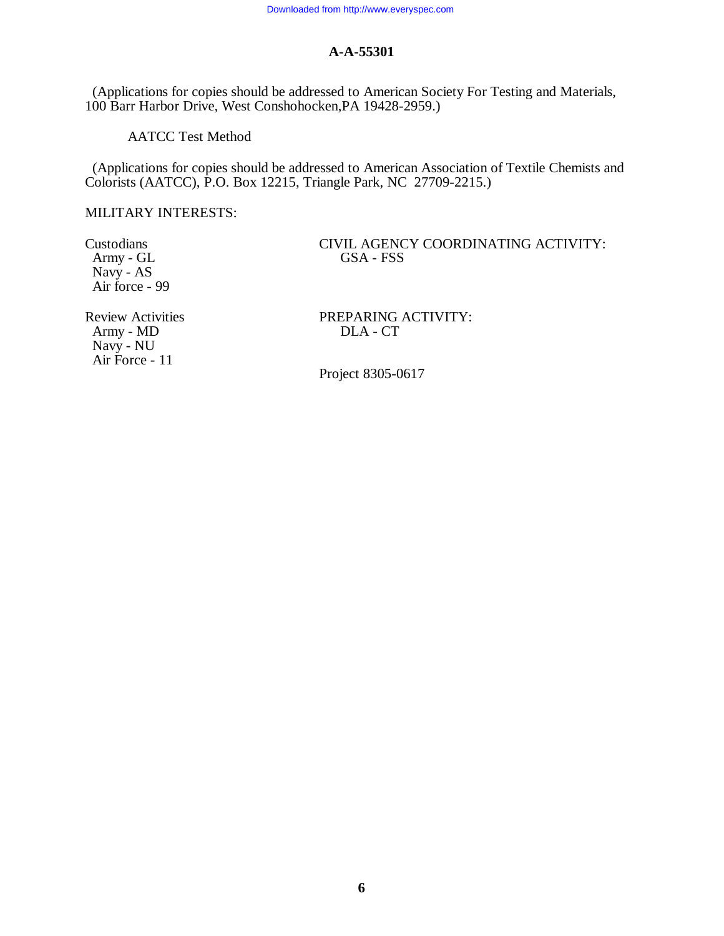(Applications for copies should be addressed to American Society For Testing and Materials, 100 Barr Harbor Drive, West Conshohocken,PA 19428-2959.)

AATCC Test Method

 (Applications for copies should be addressed to American Association of Textile Chemists and Colorists (AATCC), P.O. Box 12215, Triangle Park, NC 27709-2215.)

MILITARY INTERESTS:

Army -  $GL$  Navy - AS Air force - 99

Army -  $MD$  Navy - NU Air Force - 11

Custodians CIVIL AGENCY COORDINATING ACTIVITY:<br>
Army - GL GSA - FSS

Review Activities PREPARING ACTIVITY:<br>Army - MD DLA - CT

Project 8305-0617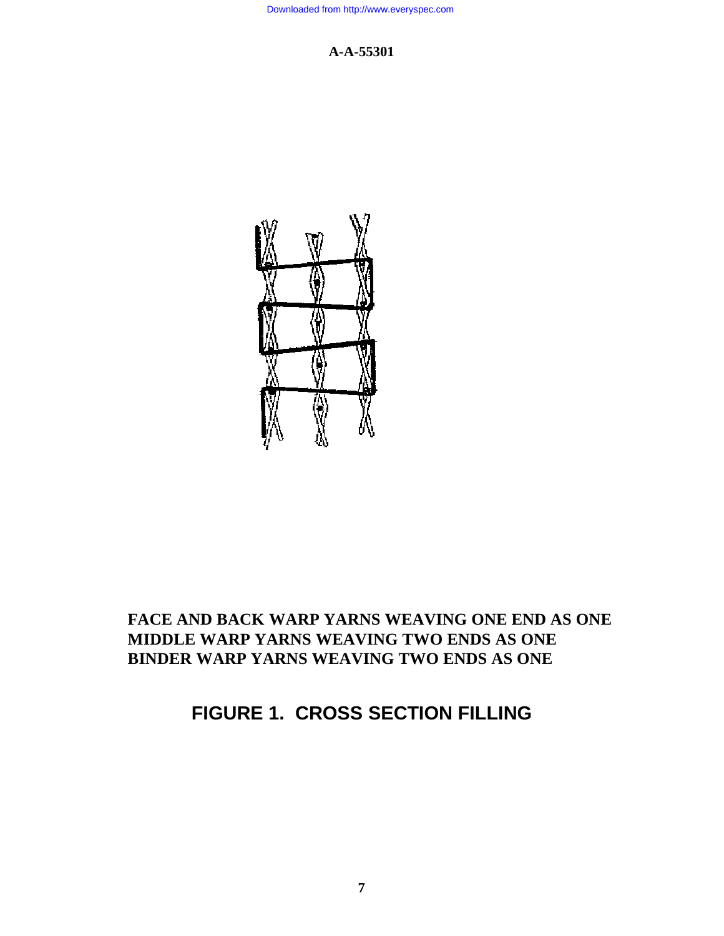

## **FACE AND BACK WARP YARNS WEAVING ONE END AS ONE MIDDLE WARP YARNS WEAVING TWO ENDS AS ONE BINDER WARP YARNS WEAVING TWO ENDS AS ONE**

## **FIGURE 1. CROSS SECTION FILLING**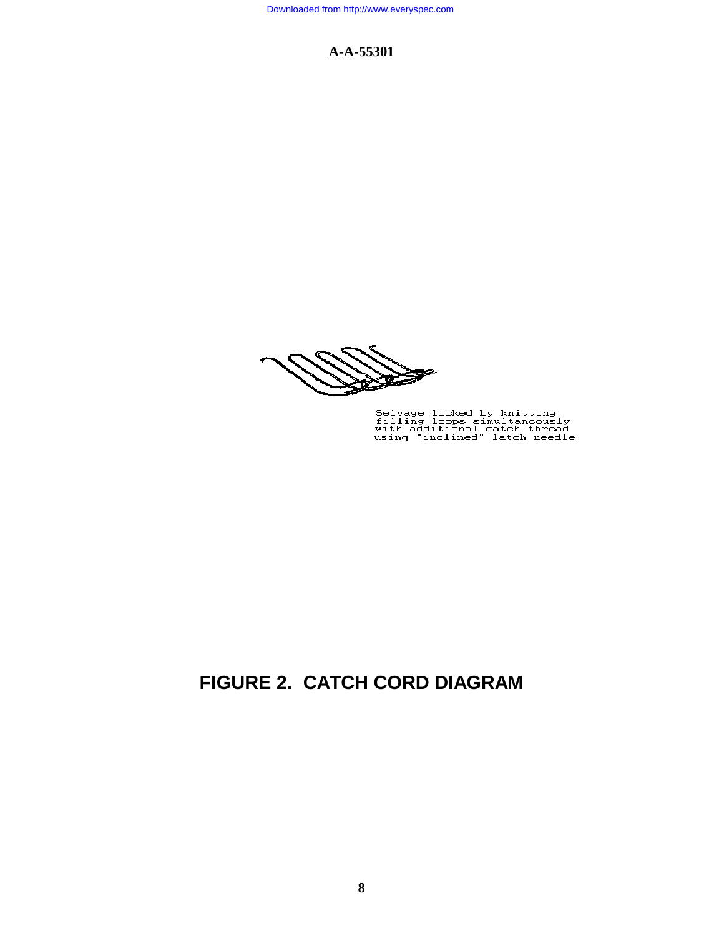Selvage locked by knitting<br>filling loops simultancously<br>with additional catch thread<br>using "inclined" latch needle.

## **FIGURE 2. CATCH CORD DIAGRAM**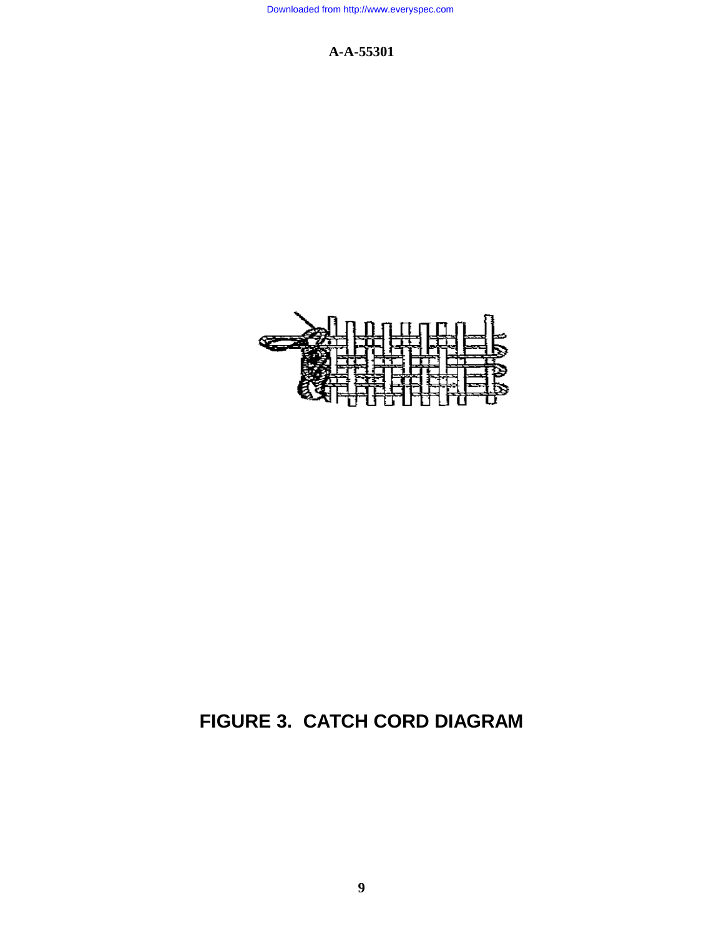

# **FIGURE 3. CATCH CORD DIAGRAM**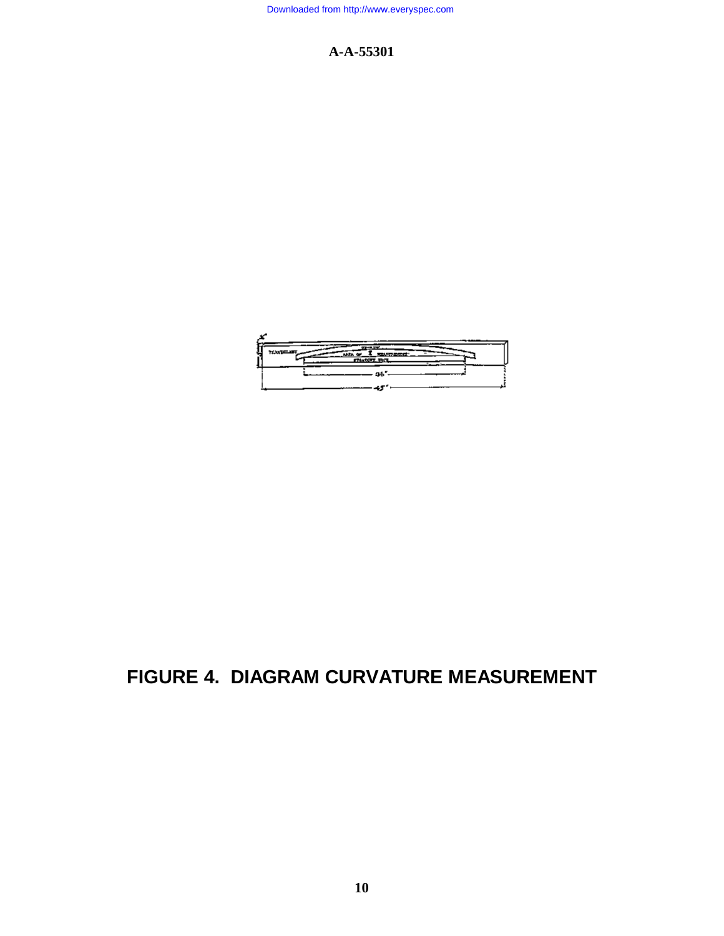

## **FIGURE 4. DIAGRAM CURVATURE MEASUREMENT**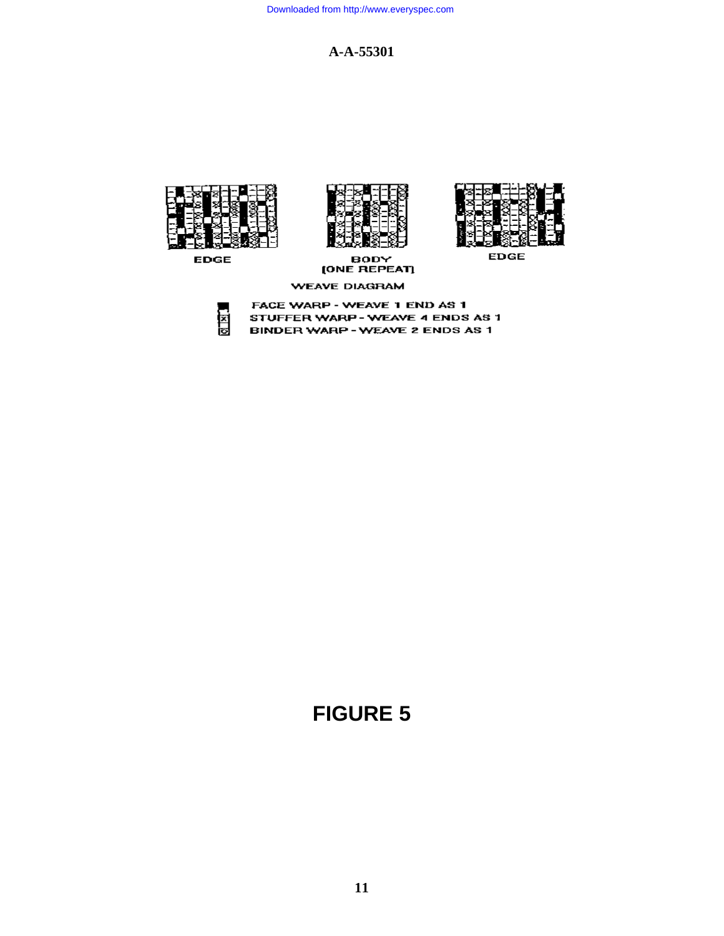

**EDGE** 



BODY<br>[ONE REPEAT]



**EDGE** 

**WEAVE DIAGRAM** 

FACE WARP - WEAVE 1 END AS 1 图图 STUFFER WARP - WEAVE 4 ENDS AS 1 **BINDER WARP - WEAVE 2 ENDS AS 1** 

# **FIGURE 5**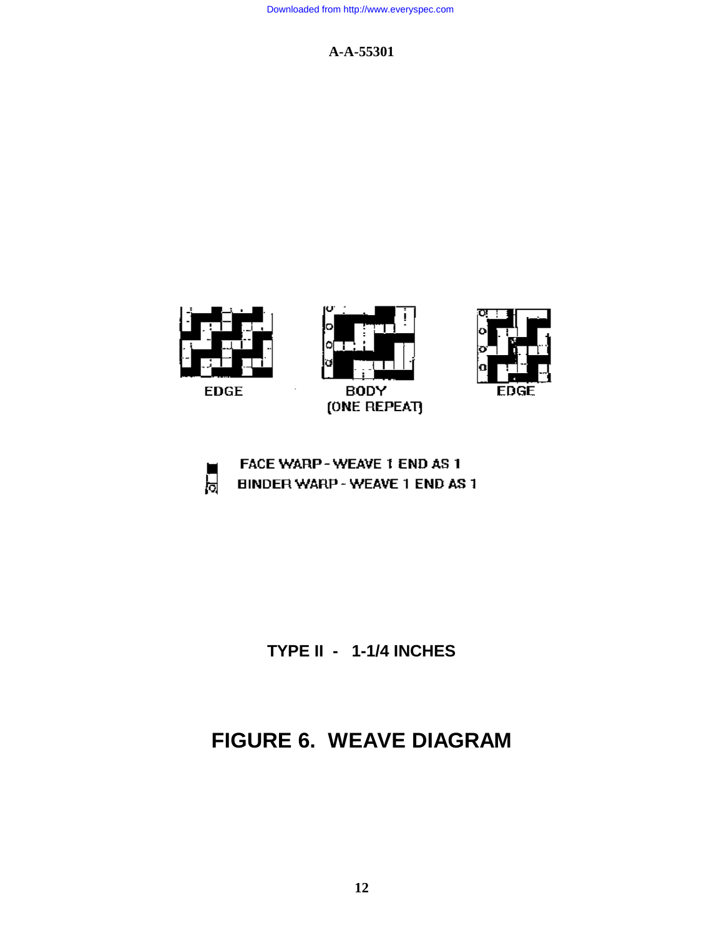



FDGF

**TYPE II - 1-1/4 INCHES**

## **FIGURE 6. WEAVE DIAGRAM**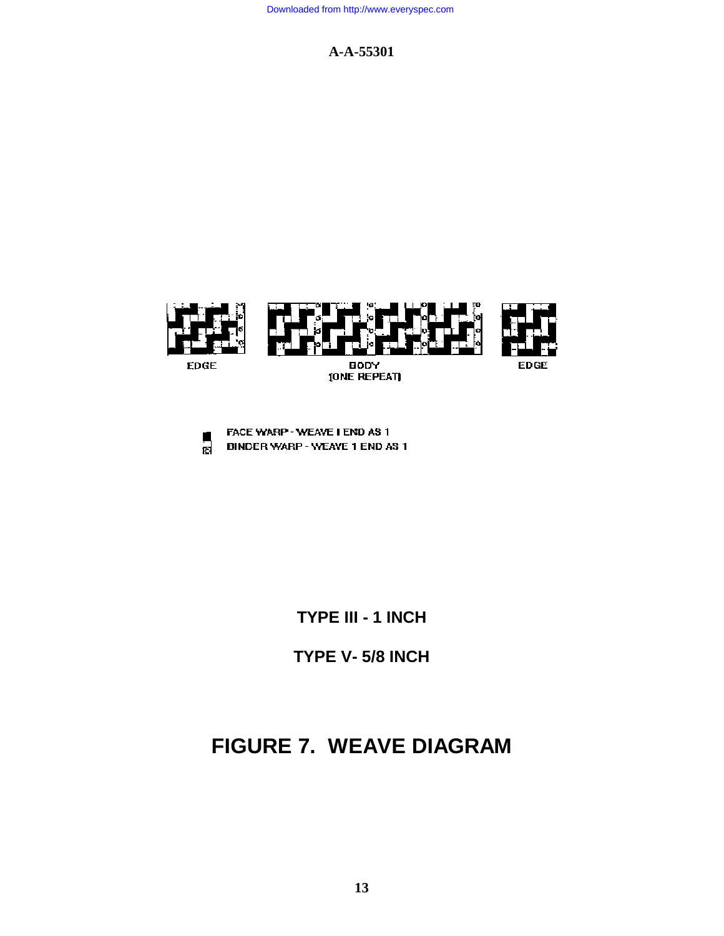



**TYPE III - 1 INCH**

**TYPE V- 5/8 INCH**

## **FIGURE 7. WEAVE DIAGRAM**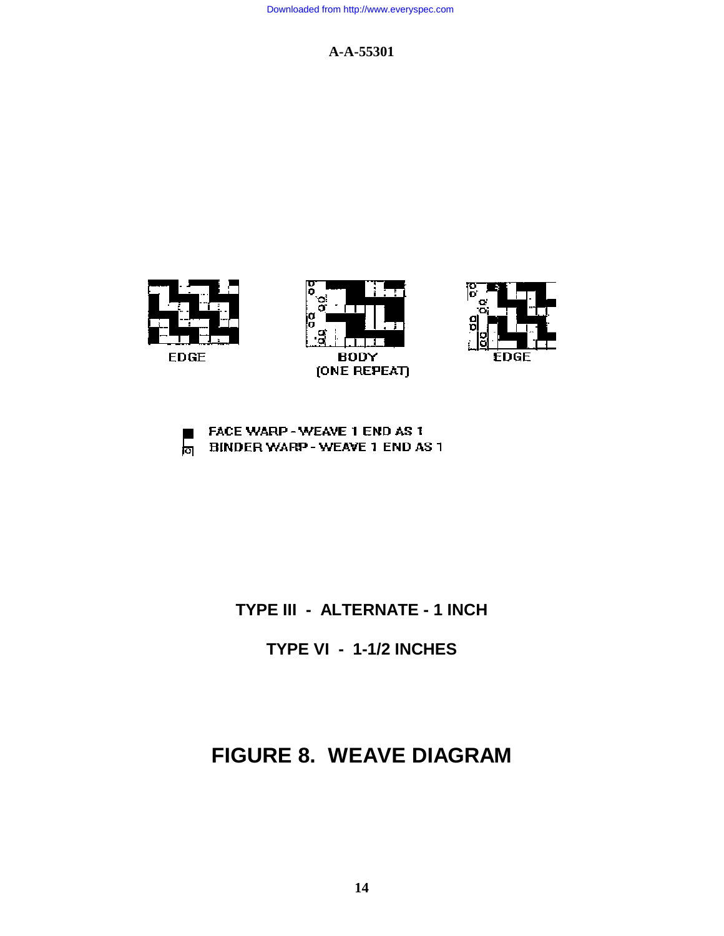







## **TYPE III - ALTERNATE - 1 INCH**

**TYPE VI - 1-1/2 INCHES**

## **FIGURE 8. WEAVE DIAGRAM**